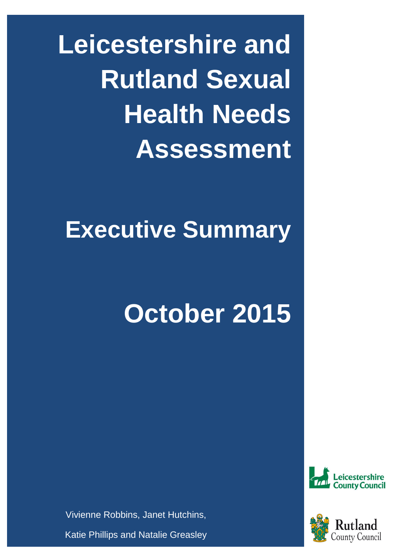**Leicestershire and Rutland Sexual Health Needs Assessment**

# **Executive Summary**

# **October 2015**





Vivienne Robbins, Janet Hutchins,

Katie Phillips and Natalie Greasley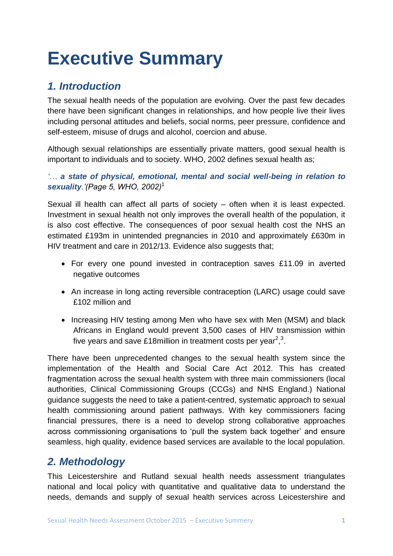# **Executive Summary**

# *1. Introduction*

The sexual health needs of the population are evolving. Over the past few decades there have been significant changes in relationships, and how people live their lives including personal attitudes and beliefs, social norms, peer pressure, confidence and self-esteem, misuse of drugs and alcohol, coercion and abuse.

Although sexual relationships are essentially private matters, good sexual health is important to individuals and to society. WHO, 2002 defines sexual health as;

*'… a state of physical, emotional, mental and social well-being in relation to sexuality.'(Page 5, WHO, 2002)*<sup>1</sup>

Sexual ill health can affect all parts of society – often when it is least expected. Investment in sexual health not only improves the overall health of the population, it is also cost effective. The consequences of poor sexual health cost the NHS an estimated £193m in unintended pregnancies in 2010 and approximately £630m in HIV treatment and care in 2012/13. Evidence also suggests that;

- For every one pound invested in contraception saves £11.09 in averted negative outcomes
- An increase in long acting reversible contraception (LARC) usage could save £102 million and
- Increasing HIV testing among Men who have sex with Men (MSM) and black Africans in England would prevent 3,500 cases of HIV transmission within five years and save £18 million in treatment costs per year<sup>2,3</sup>.

There have been unprecedented changes to the sexual health system since the implementation of the Health and Social Care Act 2012. This has created fragmentation across the sexual health system with three main commissioners (local authorities, Clinical Commissioning Groups (CCGs) and NHS England.) National guidance suggests the need to take a patient-centred, systematic approach to sexual health commissioning around patient pathways. With key commissioners facing financial pressures, there is a need to develop strong collaborative approaches across commissioning organisations to 'pull the system back together' and ensure seamless, high quality, evidence based services are available to the local population.

# *2. Methodology*

This Leicestershire and Rutland sexual health needs assessment triangulates national and local policy with quantitative and qualitative data to understand the needs, demands and supply of sexual health services across Leicestershire and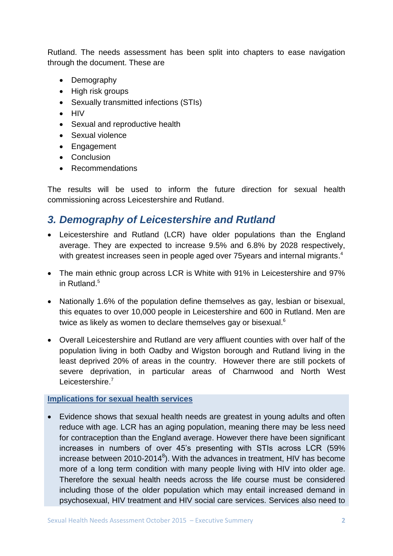Rutland. The needs assessment has been split into chapters to ease navigation through the document. These are

- Demography
- High risk groups
- Sexually transmitted infections (STIs)
- $\bullet$  HIV
- Sexual and reproductive health
- Sexual violence
- Engagement
- Conclusion
- Recommendations

The results will be used to inform the future direction for sexual health commissioning across Leicestershire and Rutland.

# *3. Demography of Leicestershire and Rutland*

- Leicestershire and Rutland (LCR) have older populations than the England average. They are expected to increase 9.5% and 6.8% by 2028 respectively, with greatest increases seen in people aged over 75years and internal migrants.<sup>4</sup>
- The main ethnic group across LCR is White with 91% in Leicestershire and 97% in Rutland.<sup>5</sup>
- Nationally 1.6% of the population define themselves as gay, lesbian or bisexual, this equates to over 10,000 people in Leicestershire and 600 in Rutland. Men are twice as likely as women to declare themselves gay or bisexual.<sup>6</sup>
- Overall Leicestershire and Rutland are very affluent counties with over half of the population living in both Oadby and Wigston borough and Rutland living in the least deprived 20% of areas in the country. However there are still pockets of severe deprivation, in particular areas of Charnwood and North West Leicestershire.<sup>7</sup>

#### **Implications for sexual health services**

 Evidence shows that sexual health needs are greatest in young adults and often reduce with age. LCR has an aging population, meaning there may be less need for contraception than the England average. However there have been significant increases in numbers of over 45's presenting with STIs across LCR (59% increase between 2010-2014<sup>8</sup>). With the advances in treatment, HIV has become more of a long term condition with many people living with HIV into older age. Therefore the sexual health needs across the life course must be considered including those of the older population which may entail increased demand in psychosexual, HIV treatment and HIV social care services. Services also need to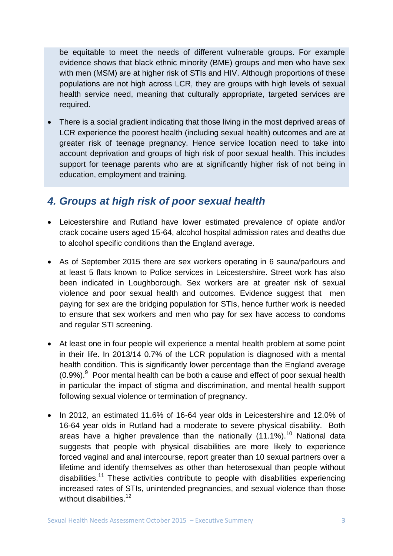be equitable to meet the needs of different vulnerable groups. For example evidence shows that black ethnic minority (BME) groups and men who have sex with men (MSM) are at higher risk of STIs and HIV. Although proportions of these populations are not high across LCR, they are groups with high levels of sexual health service need, meaning that culturally appropriate, targeted services are required.

 There is a social gradient indicating that those living in the most deprived areas of LCR experience the poorest health (including sexual health) outcomes and are at greater risk of teenage pregnancy. Hence service location need to take into account deprivation and groups of high risk of poor sexual health. This includes support for teenage parents who are at significantly higher risk of not being in education, employment and training.

## *4. Groups at high risk of poor sexual health*

- Leicestershire and Rutland have lower estimated prevalence of opiate and/or crack cocaine users aged 15-64, alcohol hospital admission rates and deaths due to alcohol specific conditions than the England average.
- As of September 2015 there are sex workers operating in 6 sauna/parlours and at least 5 flats known to Police services in Leicestershire. Street work has also been indicated in Loughborough. Sex workers are at greater risk of sexual violence and poor sexual health and outcomes. Evidence suggest that men paying for sex are the bridging population for STIs, hence further work is needed to ensure that sex workers and men who pay for sex have access to condoms and regular STI screening.
- At least one in four people will experience a mental health problem at some point in their life. In 2013/14 0.7% of the LCR population is diagnosed with a mental health condition. This is significantly lower percentage than the England average  $(0.9\%)$ . Poor mental health can be both a cause and effect of poor sexual health in particular the impact of stigma and discrimination, and mental health support following sexual violence or termination of pregnancy.
- In 2012, an estimated 11.6% of 16-64 year olds in Leicestershire and 12.0% of 16-64 year olds in Rutland had a moderate to severe physical disability. Both areas have a higher prevalence than the nationally  $(11.1\%)$ .<sup>10</sup> National data suggests that people with physical disabilities are more likely to experience forced vaginal and anal intercourse, report greater than 10 sexual partners over a lifetime and identify themselves as other than heterosexual than people without disabilities.<sup>11</sup> These activities contribute to people with disabilities experiencing increased rates of STIs, unintended pregnancies, and sexual violence than those without disabilities $12$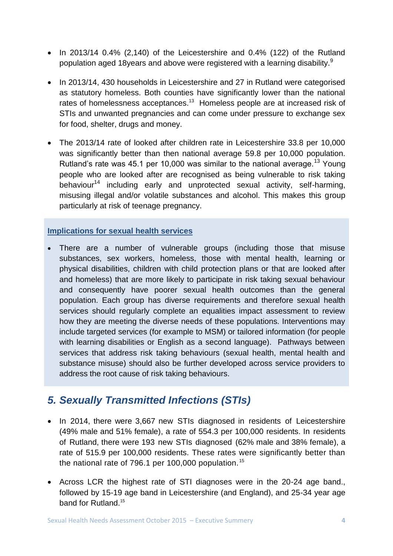- $\bullet$  In 2013/14 0.4% (2,140) of the Leicestershire and 0.4% (122) of the Rutland population aged 18 years and above were registered with a learning disability.<sup>9</sup>
- In 2013/14, 430 households in Leicestershire and 27 in Rutland were categorised as statutory homeless. Both counties have significantly lower than the national rates of homelessness acceptances.<sup>13</sup> Homeless people are at increased risk of STIs and unwanted pregnancies and can come under pressure to exchange sex for food, shelter, drugs and money.
- The 2013/14 rate of looked after children rate in Leicestershire 33.8 per 10,000 was significantly better than then national average 59.8 per 10,000 population. Rutland's rate was 45.1 per 10,000 was similar to the national average.<sup>13</sup> Young people who are looked after are recognised as being vulnerable to risk taking behaviour<sup>14</sup> including early and unprotected sexual activity, self-harming, misusing illegal and/or volatile substances and alcohol. This makes this group particularly at risk of teenage pregnancy.

#### **Implications for sexual health services**

 There are a number of vulnerable groups (including those that misuse substances, sex workers, homeless, those with mental health, learning or physical disabilities, children with child protection plans or that are looked after and homeless) that are more likely to participate in risk taking sexual behaviour and consequently have poorer sexual health outcomes than the general population. Each group has diverse requirements and therefore sexual health services should regularly complete an equalities impact assessment to review how they are meeting the diverse needs of these populations. Interventions may include targeted services (for example to MSM) or tailored information (for people with learning disabilities or English as a second language). Pathways between services that address risk taking behaviours (sexual health, mental health and substance misuse) should also be further developed across service providers to address the root cause of risk taking behaviours.

# *5. Sexually Transmitted Infections (STIs)*

- In 2014, there were 3,667 new STIs diagnosed in residents of Leicestershire (49% male and 51% female), a rate of 554.3 per 100,000 residents. In residents of Rutland, there were 193 new STIs diagnosed (62% male and 38% female), a rate of 515.9 per 100,000 residents. These rates were significantly better than the national rate of 796.1 per 100,000 population.<sup>15</sup>
- Across LCR the highest rate of STI diagnoses were in the 20-24 age band., followed by 15-19 age band in Leicestershire (and England), and 25-34 year age band for Rutland.<sup>15</sup>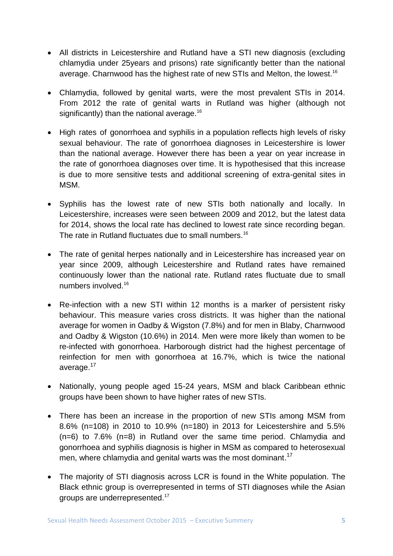- All districts in Leicestershire and Rutland have a STI new diagnosis (excluding chlamydia under 25years and prisons) rate significantly better than the national average. Charnwood has the highest rate of new STIs and Melton, the lowest.<sup>16</sup>
- Chlamydia, followed by genital warts, were the most prevalent STIs in 2014. From 2012 the rate of genital warts in Rutland was higher (although not significantly) than the national average.<sup>16</sup>
- High rates of gonorrhoea and syphilis in a population reflects high levels of risky sexual behaviour. The rate of gonorrhoea diagnoses in Leicestershire is lower than the national average. However there has been a year on year increase in the rate of gonorrhoea diagnoses over time. It is hypothesised that this increase is due to more sensitive tests and additional screening of extra-genital sites in MSM.
- Syphilis has the lowest rate of new STIs both nationally and locally. In Leicestershire, increases were seen between 2009 and 2012, but the latest data for 2014, shows the local rate has declined to lowest rate since recording began. The rate in Rutland fluctuates due to small numbers.<sup>16</sup>
- The rate of genital herpes nationally and in Leicestershire has increased year on year since 2009, although Leicestershire and Rutland rates have remained continuously lower than the national rate. Rutland rates fluctuate due to small numbers involved.<sup>16</sup>
- Re-infection with a new STI within 12 months is a marker of persistent risky behaviour. This measure varies cross districts. It was higher than the national average for women in Oadby & Wigston (7.8%) and for men in Blaby, Charnwood and Oadby & Wigston (10.6%) in 2014. Men were more likely than women to be re-infected with gonorrhoea. Harborough district had the highest percentage of reinfection for men with gonorrhoea at 16.7%, which is twice the national average.<sup>17</sup>
- Nationally, young people aged 15-24 years, MSM and black Caribbean ethnic groups have been shown to have higher rates of new STIs.
- There has been an increase in the proportion of new STIs among MSM from 8.6% (n=108) in 2010 to 10.9% (n=180) in 2013 for Leicestershire and 5.5% (n=6) to 7.6% (n=8) in Rutland over the same time period. Chlamydia and gonorrhoea and syphilis diagnosis is higher in MSM as compared to heterosexual men, where chlamydia and genital warts was the most dominant.<sup>17</sup>
- The majority of STI diagnosis across LCR is found in the White population. The Black ethnic group is overrepresented in terms of STI diagnoses while the Asian groups are underrepresented.17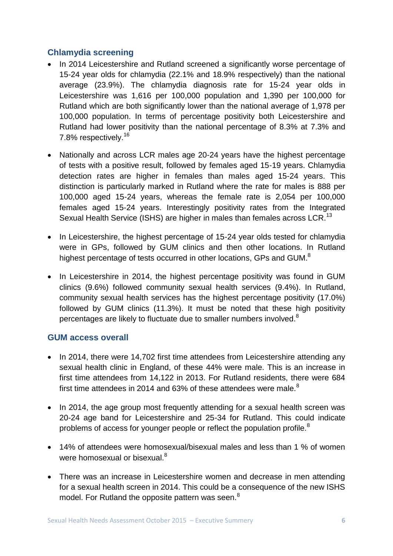#### **Chlamydia screening**

- In 2014 Leicestershire and Rutland screened a significantly worse percentage of 15-24 year olds for chlamydia (22.1% and 18.9% respectively) than the national average (23.9%). The chlamydia diagnosis rate for 15-24 year olds in Leicestershire was 1,616 per 100,000 population and 1,390 per 100,000 for Rutland which are both significantly lower than the national average of 1,978 per 100,000 population. In terms of percentage positivity both Leicestershire and Rutland had lower positivity than the national percentage of 8.3% at 7.3% and 7.8% respectively.<sup>16</sup>
- Nationally and across LCR males age 20-24 years have the highest percentage of tests with a positive result, followed by females aged 15-19 years. Chlamydia detection rates are higher in females than males aged 15-24 years. This distinction is particularly marked in Rutland where the rate for males is 888 per 100,000 aged 15-24 years, whereas the female rate is 2,054 per 100,000 females aged 15-24 years. Interestingly positivity rates from the Integrated Sexual Health Service (ISHS) are higher in males than females across LCR.<sup>13</sup>
- In Leicestershire, the highest percentage of 15-24 year olds tested for chlamydia were in GPs, followed by GUM clinics and then other locations. In Rutland highest percentage of tests occurred in other locations, GPs and GUM.<sup>8</sup>
- In Leicestershire in 2014, the highest percentage positivity was found in GUM clinics (9.6%) followed community sexual health services (9.4%). In Rutland, community sexual health services has the highest percentage positivity (17.0%) followed by GUM clinics (11.3%). It must be noted that these high positivity percentages are likely to fluctuate due to smaller numbers involved.<sup>8</sup>

#### **GUM access overall**

- In 2014, there were 14,702 first time attendees from Leicestershire attending any sexual health clinic in England, of these 44% were male. This is an increase in first time attendees from 14,122 in 2013. For Rutland residents, there were 684 first time attendees in 2014 and 63% of these attendees were male. $8$
- In 2014, the age group most frequently attending for a sexual health screen was 20-24 age band for Leicestershire and 25-34 for Rutland. This could indicate problems of access for younger people or reflect the population profile.<sup>8</sup>
- 14% of attendees were homosexual/bisexual males and less than 1 % of women were homosexual or bisexual.<sup>8</sup>
- There was an increase in Leicestershire women and decrease in men attending for a sexual health screen in 2014. This could be a consequence of the new ISHS model. For Rutland the opposite pattern was seen.<sup>8</sup>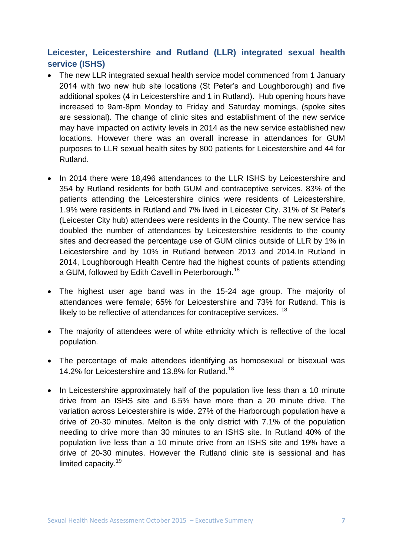#### **Leicester, Leicestershire and Rutland (LLR) integrated sexual health service (ISHS)**

- The new LLR integrated sexual health service model commenced from 1 January 2014 with two new hub site locations (St Peter's and Loughborough) and five additional spokes (4 in Leicestershire and 1 in Rutland). Hub opening hours have increased to 9am-8pm Monday to Friday and Saturday mornings, (spoke sites are sessional). The change of clinic sites and establishment of the new service may have impacted on activity levels in 2014 as the new service established new locations. However there was an overall increase in attendances for GUM purposes to LLR sexual health sites by 800 patients for Leicestershire and 44 for Rutland.
- In 2014 there were 18,496 attendances to the LLR ISHS by Leicestershire and 354 by Rutland residents for both GUM and contraceptive services. 83% of the patients attending the Leicestershire clinics were residents of Leicestershire, 1.9% were residents in Rutland and 7% lived in Leicester City. 31% of St Peter's (Leicester City hub) attendees were residents in the County. The new service has doubled the number of attendances by Leicestershire residents to the county sites and decreased the percentage use of GUM clinics outside of LLR by 1% in Leicestershire and by 10% in Rutland between 2013 and 2014.In Rutland in 2014, Loughborough Health Centre had the highest counts of patients attending a GUM, followed by Edith Cavell in Peterborough.<sup>18</sup>
- The highest user age band was in the 15-24 age group. The majority of attendances were female; 65% for Leicestershire and 73% for Rutland. This is likely to be reflective of attendances for contraceptive services. <sup>18</sup>
- The majority of attendees were of white ethnicity which is reflective of the local population.
- The percentage of male attendees identifying as homosexual or bisexual was 14.2% for Leicestershire and 13.8% for Rutland.<sup>18</sup>
- In Leicestershire approximately half of the population live less than a 10 minute drive from an ISHS site and 6.5% have more than a 20 minute drive. The variation across Leicestershire is wide. 27% of the Harborough population have a drive of 20-30 minutes. Melton is the only district with 7.1% of the population needing to drive more than 30 minutes to an ISHS site. In Rutland 40% of the population live less than a 10 minute drive from an ISHS site and 19% have a drive of 20-30 minutes. However the Rutland clinic site is sessional and has limited capacity.<sup>19</sup>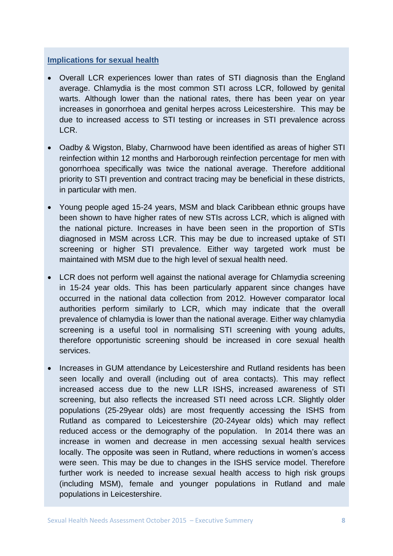#### **Implications for sexual health**

- Overall LCR experiences lower than rates of STI diagnosis than the England average. Chlamydia is the most common STI across LCR, followed by genital warts. Although lower than the national rates, there has been year on year increases in gonorrhoea and genital herpes across Leicestershire. This may be due to increased access to STI testing or increases in STI prevalence across LCR.
- Oadby & Wigston, Blaby, Charnwood have been identified as areas of higher STI reinfection within 12 months and Harborough reinfection percentage for men with gonorrhoea specifically was twice the national average. Therefore additional priority to STI prevention and contract tracing may be beneficial in these districts, in particular with men.
- Young people aged 15-24 years, MSM and black Caribbean ethnic groups have been shown to have higher rates of new STIs across LCR, which is aligned with the national picture. Increases in have been seen in the proportion of STIs diagnosed in MSM across LCR. This may be due to increased uptake of STI screening or higher STI prevalence. Either way targeted work must be maintained with MSM due to the high level of sexual health need.
- LCR does not perform well against the national average for Chlamydia screening in 15-24 year olds. This has been particularly apparent since changes have occurred in the national data collection from 2012. However comparator local authorities perform similarly to LCR, which may indicate that the overall prevalence of chlamydia is lower than the national average. Either way chlamydia screening is a useful tool in normalising STI screening with young adults, therefore opportunistic screening should be increased in core sexual health services.
- Increases in GUM attendance by Leicestershire and Rutland residents has been seen locally and overall (including out of area contacts). This may reflect increased access due to the new LLR ISHS, increased awareness of STI screening, but also reflects the increased STI need across LCR. Slightly older populations (25-29year olds) are most frequently accessing the ISHS from Rutland as compared to Leicestershire (20-24year olds) which may reflect reduced access or the demography of the population. In 2014 there was an increase in women and decrease in men accessing sexual health services locally. The opposite was seen in Rutland, where reductions in women's access were seen. This may be due to changes in the ISHS service model. Therefore further work is needed to increase sexual health access to high risk groups (including MSM), female and younger populations in Rutland and male populations in Leicestershire.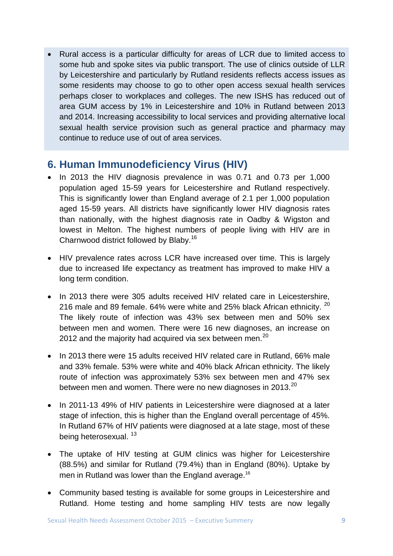Rural access is a particular difficulty for areas of LCR due to limited access to some hub and spoke sites via public transport. The use of clinics outside of LLR by Leicestershire and particularly by Rutland residents reflects access issues as some residents may choose to go to other open access sexual health services perhaps closer to workplaces and colleges. The new ISHS has reduced out of area GUM access by 1% in Leicestershire and 10% in Rutland between 2013 and 2014. Increasing accessibility to local services and providing alternative local sexual health service provision such as general practice and pharmacy may continue to reduce use of out of area services.

# **6. Human Immunodeficiency Virus (HIV)**

- In 2013 the HIV diagnosis prevalence in was 0.71 and 0.73 per 1,000 population aged 15-59 years for Leicestershire and Rutland respectively. This is significantly lower than England average of 2.1 per 1,000 population aged 15-59 years. All districts have significantly lower HIV diagnosis rates than nationally, with the highest diagnosis rate in Oadby & Wigston and lowest in Melton. The highest numbers of people living with HIV are in Charnwood district followed by Blaby.<sup>16</sup>
- HIV prevalence rates across LCR have increased over time. This is largely due to increased life expectancy as treatment has improved to make HIV a long term condition.
- In 2013 there were 305 adults received HIV related care in Leicestershire, 216 male and 89 female. 64% were white and 25% black African ethnicity. <sup>20</sup> The likely route of infection was 43% sex between men and 50% sex between men and women. There were 16 new diagnoses, an increase on 2012 and the majority had acquired via sex between men.<sup>20</sup>
- In 2013 there were 15 adults received HIV related care in Rutland, 66% male and 33% female. 53% were white and 40% black African ethnicity. The likely route of infection was approximately 53% sex between men and 47% sex between men and women. There were no new diagnoses in 2013.<sup>20</sup>
- In 2011-13 49% of HIV patients in Leicestershire were diagnosed at a later stage of infection, this is higher than the England overall percentage of 45%. In Rutland 67% of HIV patients were diagnosed at a late stage, most of these being heterosexual.<sup>13</sup>
- The uptake of HIV testing at GUM clinics was higher for Leicestershire (88.5%) and similar for Rutland (79.4%) than in England (80%). Uptake by men in Rutland was lower than the England average.<sup>16</sup>
- Community based testing is available for some groups in Leicestershire and Rutland. Home testing and home sampling HIV tests are now legally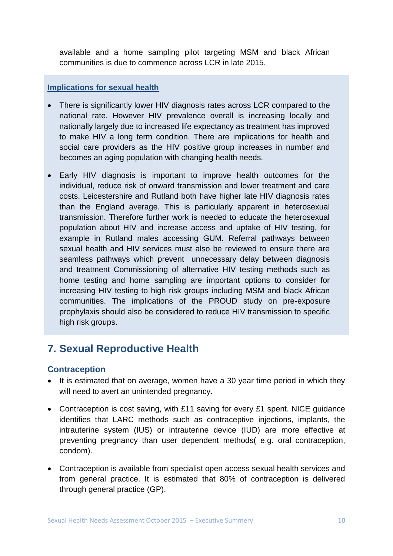available and a home sampling pilot targeting MSM and black African communities is due to commence across LCR in late 2015.

#### **Implications for sexual health**

- There is significantly lower HIV diagnosis rates across LCR compared to the national rate. However HIV prevalence overall is increasing locally and nationally largely due to increased life expectancy as treatment has improved to make HIV a long term condition. There are implications for health and social care providers as the HIV positive group increases in number and becomes an aging population with changing health needs.
- Early HIV diagnosis is important to improve health outcomes for the individual, reduce risk of onward transmission and lower treatment and care costs. Leicestershire and Rutland both have higher late HIV diagnosis rates than the England average. This is particularly apparent in heterosexual transmission. Therefore further work is needed to educate the heterosexual population about HIV and increase access and uptake of HIV testing, for example in Rutland males accessing GUM. Referral pathways between sexual health and HIV services must also be reviewed to ensure there are seamless pathways which prevent unnecessary delay between diagnosis and treatment Commissioning of alternative HIV testing methods such as home testing and home sampling are important options to consider for increasing HIV testing to high risk groups including MSM and black African communities. The implications of the PROUD study on pre-exposure prophylaxis should also be considered to reduce HIV transmission to specific high risk groups.

# **7. Sexual Reproductive Health**

#### **Contraception**

- It is estimated that on average, women have a 30 year time period in which they will need to avert an unintended pregnancy.
- Contraception is cost saving, with £11 saving for every £1 spent. NICE quidance identifies that LARC methods such as contraceptive injections, implants, the intrauterine system (IUS) or intrauterine device (IUD) are more effective at preventing pregnancy than user dependent methods( e.g. oral contraception, condom).
- Contraception is available from specialist open access sexual health services and from general practice. It is estimated that 80% of contraception is delivered through general practice (GP).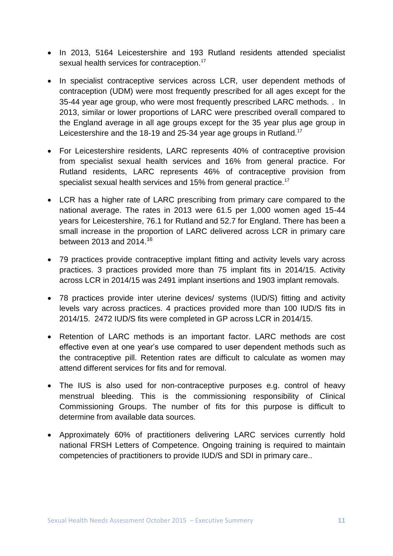- In 2013, 5164 Leicestershire and 193 Rutland residents attended specialist sexual health services for contraception.<sup>17</sup>
- In specialist contraceptive services across LCR, user dependent methods of contraception (UDM) were most frequently prescribed for all ages except for the 35-44 year age group, who were most frequently prescribed LARC methods. . In 2013, similar or lower proportions of LARC were prescribed overall compared to the England average in all age groups except for the 35 year plus age group in Leicestershire and the 18-19 and 25-34 year age groups in Rutland.<sup>17</sup>
- For Leicestershire residents, LARC represents 40% of contraceptive provision from specialist sexual health services and 16% from general practice. For Rutland residents, LARC represents 46% of contraceptive provision from specialist sexual health services and 15% from general practice.<sup>17</sup>
- LCR has a higher rate of LARC prescribing from primary care compared to the national average. The rates in 2013 were 61.5 per 1,000 women aged 15-44 years for Leicestershire, 76.1 for Rutland and 52.7 for England. There has been a small increase in the proportion of LARC delivered across LCR in primary care between 2013 and 2014. 16
- 79 practices provide contraceptive implant fitting and activity levels vary across practices. 3 practices provided more than 75 implant fits in 2014/15. Activity across LCR in 2014/15 was 2491 implant insertions and 1903 implant removals.
- 78 practices provide inter uterine devices/ systems (IUD/S) fitting and activity levels vary across practices. 4 practices provided more than 100 IUD/S fits in 2014/15. 2472 IUD/S fits were completed in GP across LCR in 2014/15.
- Retention of LARC methods is an important factor. LARC methods are cost effective even at one year's use compared to user dependent methods such as the contraceptive pill. Retention rates are difficult to calculate as women may attend different services for fits and for removal.
- The IUS is also used for non-contraceptive purposes e.g. control of heavy menstrual bleeding. This is the commissioning responsibility of Clinical Commissioning Groups. The number of fits for this purpose is difficult to determine from available data sources.
- Approximately 60% of practitioners delivering LARC services currently hold national FRSH Letters of Competence. Ongoing training is required to maintain competencies of practitioners to provide IUD/S and SDI in primary care..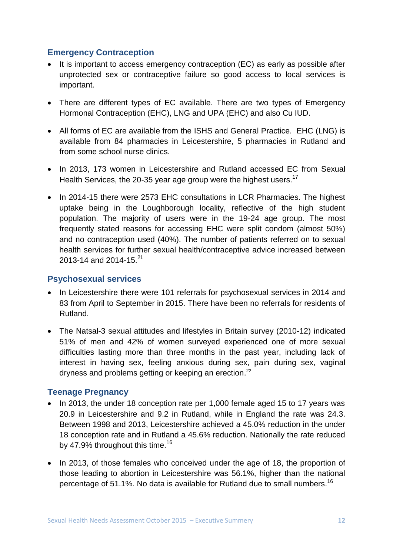#### **Emergency Contraception**

- It is important to access emergency contraception (EC) as early as possible after unprotected sex or contraceptive failure so good access to local services is important.
- There are different types of EC available. There are two types of Emergency Hormonal Contraception (EHC), LNG and UPA (EHC) and also Cu IUD.
- All forms of EC are available from the ISHS and General Practice. EHC (LNG) is available from 84 pharmacies in Leicestershire, 5 pharmacies in Rutland and from some school nurse clinics.
- In 2013, 173 women in Leicestershire and Rutland accessed EC from Sexual Health Services, the 20-35 year age group were the highest users.<sup>17</sup>
- In 2014-15 there were 2573 EHC consultations in LCR Pharmacies. The highest uptake being in the Loughborough locality, reflective of the high student population. The majority of users were in the 19-24 age group. The most frequently stated reasons for accessing EHC were split condom (almost 50%) and no contraception used (40%). The number of patients referred on to sexual health services for further sexual health/contraceptive advice increased between 2013-14 and 2014-15.<sup>21</sup>

#### **Psychosexual services**

- In Leicestershire there were 101 referrals for psychosexual services in 2014 and 83 from April to September in 2015. There have been no referrals for residents of Rutland.
- The Natsal-3 sexual attitudes and lifestyles in Britain survey (2010-12) indicated 51% of men and 42% of women surveyed experienced one of more sexual difficulties lasting more than three months in the past year, including lack of interest in having sex, feeling anxious during sex, pain during sex, vaginal dryness and problems getting or keeping an erection.<sup>22</sup>

#### **Teenage Pregnancy**

- In 2013, the under 18 conception rate per 1,000 female aged 15 to 17 years was 20.9 in Leicestershire and 9.2 in Rutland, while in England the rate was 24.3. Between 1998 and 2013, Leicestershire achieved a 45.0% reduction in the under 18 conception rate and in Rutland a 45.6% reduction. Nationally the rate reduced by 47.9% throughout this time.<sup>16</sup>
- In 2013, of those females who conceived under the age of 18, the proportion of those leading to abortion in Leicestershire was 56.1%, higher than the national percentage of 51.1%. No data is available for Rutland due to small numbers.<sup>16</sup>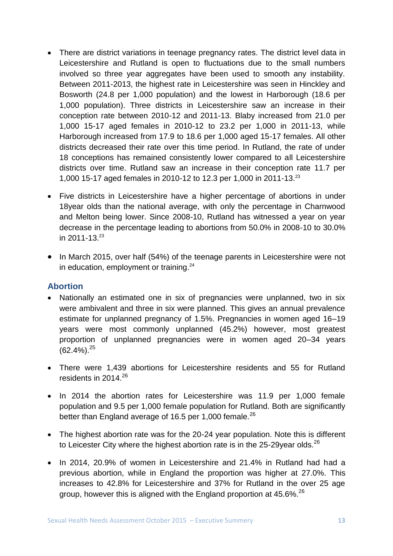- There are district variations in teenage pregnancy rates. The district level data in Leicestershire and Rutland is open to fluctuations due to the small numbers involved so three year aggregates have been used to smooth any instability. Between 2011-2013, the highest rate in Leicestershire was seen in Hinckley and Bosworth (24.8 per 1,000 population) and the lowest in Harborough (18.6 per 1,000 population). Three districts in Leicestershire saw an increase in their conception rate between 2010-12 and 2011-13. Blaby increased from 21.0 per 1,000 15-17 aged females in 2010-12 to 23.2 per 1,000 in 2011-13, while Harborough increased from 17.9 to 18.6 per 1,000 aged 15-17 females. All other districts decreased their rate over this time period. In Rutland, the rate of under 18 conceptions has remained consistently lower compared to all Leicestershire districts over time. Rutland saw an increase in their conception rate 11.7 per 1,000 15-17 aged females in 2010-12 to 12.3 per 1,000 in 2011-13. 23
- Five districts in Leicestershire have a higher percentage of abortions in under 18year olds than the national average, with only the percentage in Charnwood and Melton being lower. Since 2008-10, Rutland has witnessed a year on year decrease in the percentage leading to abortions from 50.0% in 2008-10 to 30.0% in 2011-13. 23
- In March 2015, over half (54%) of the teenage parents in Leicestershire were not in education, employment or training.<sup>24</sup>

#### **Abortion**

- Nationally an estimated one in six of pregnancies were unplanned, two in six were ambivalent and three in six were planned. This gives an annual prevalence estimate for unplanned pregnancy of 1.5%. Pregnancies in women aged 16–19 years were most commonly unplanned (45.2%) however, most greatest proportion of unplanned pregnancies were in women aged 20–34 years  $(62.4\%)$ <sup>25</sup>
- There were 1,439 abortions for Leicestershire residents and 55 for Rutland residents in  $2014^{26}$
- In 2014 the abortion rates for Leicestershire was 11.9 per 1,000 female population and 9.5 per 1,000 female population for Rutland. Both are significantly better than England average of 16.5 per 1,000 female.<sup>26</sup>
- The highest abortion rate was for the 20-24 year population. Note this is different to Leicester City where the highest abortion rate is in the 25-29 year olds.<sup>26</sup>
- In 2014, 20.9% of women in Leicestershire and 21.4% in Rutland had had a previous abortion, while in England the proportion was higher at 27.0%. This increases to 42.8% for Leicestershire and 37% for Rutland in the over 25 age group, however this is aligned with the England proportion at 45.6%. $^{26}$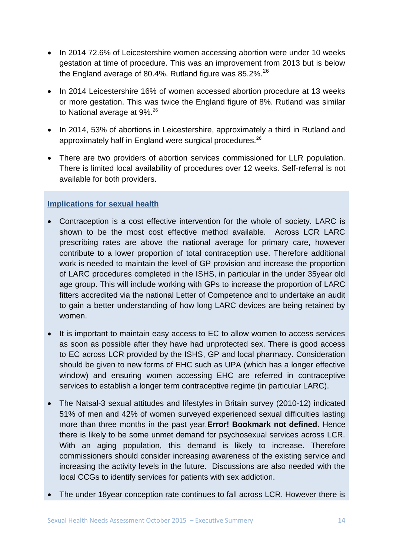- In 2014 72.6% of Leicestershire women accessing abortion were under 10 weeks gestation at time of procedure. This was an improvement from 2013 but is below the England average of 80.4%. Rutland figure was 85.2%.<sup>26</sup>
- In 2014 Leicestershire 16% of women accessed abortion procedure at 13 weeks or more gestation. This was twice the England figure of 8%. Rutland was similar to National average at 9%.<sup>26</sup>
- In 2014, 53% of abortions in Leicestershire, approximately a third in Rutland and approximately half in England were surgical procedures.<sup>26</sup>
- There are two providers of abortion services commissioned for LLR population. There is limited local availability of procedures over 12 weeks. Self-referral is not available for both providers.

#### **Implications for sexual health**

- Contraception is a cost effective intervention for the whole of society. LARC is shown to be the most cost effective method available. Across LCR LARC prescribing rates are above the national average for primary care, however contribute to a lower proportion of total contraception use. Therefore additional work is needed to maintain the level of GP provision and increase the proportion of LARC procedures completed in the ISHS, in particular in the under 35year old age group. This will include working with GPs to increase the proportion of LARC fitters accredited via the national Letter of Competence and to undertake an audit to gain a better understanding of how long LARC devices are being retained by women.
- It is important to maintain easy access to EC to allow women to access services as soon as possible after they have had unprotected sex. There is good access to EC across LCR provided by the ISHS, GP and local pharmacy. Consideration should be given to new forms of EHC such as UPA (which has a longer effective window) and ensuring women accessing EHC are referred in contraceptive services to establish a longer term contraceptive regime (in particular LARC).
- The Natsal-3 sexual attitudes and lifestyles in Britain survey (2010-12) indicated 51% of men and 42% of women surveyed experienced sexual difficulties lasting more than three months in the past year.**Error! Bookmark not defined.** Hence there is likely to be some unmet demand for psychosexual services across LCR. With an aging population, this demand is likely to increase. Therefore commissioners should consider increasing awareness of the existing service and increasing the activity levels in the future. Discussions are also needed with the local CCGs to identify services for patients with sex addiction.
- The under 18year conception rate continues to fall across LCR. However there is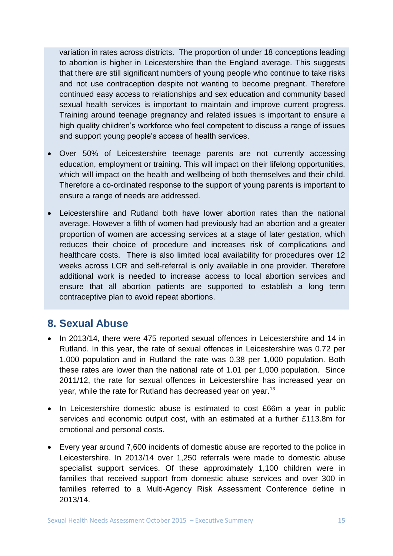variation in rates across districts. The proportion of under 18 conceptions leading to abortion is higher in Leicestershire than the England average. This suggests that there are still significant numbers of young people who continue to take risks and not use contraception despite not wanting to become pregnant. Therefore continued easy access to relationships and sex education and community based sexual health services is important to maintain and improve current progress. Training around teenage pregnancy and related issues is important to ensure a high quality children's workforce who feel competent to discuss a range of issues and support young people's access of health services.

- Over 50% of Leicestershire teenage parents are not currently accessing education, employment or training. This will impact on their lifelong opportunities, which will impact on the health and wellbeing of both themselves and their child. Therefore a co-ordinated response to the support of young parents is important to ensure a range of needs are addressed.
- Leicestershire and Rutland both have lower abortion rates than the national average. However a fifth of women had previously had an abortion and a greater proportion of women are accessing services at a stage of later gestation, which reduces their choice of procedure and increases risk of complications and healthcare costs. There is also limited local availability for procedures over 12 weeks across LCR and self-referral is only available in one provider. Therefore additional work is needed to increase access to local abortion services and ensure that all abortion patients are supported to establish a long term contraceptive plan to avoid repeat abortions.

### **8. Sexual Abuse**

- In 2013/14, there were 475 reported sexual offences in Leicestershire and 14 in Rutland. In this year, the rate of sexual offences in Leicestershire was 0.72 per 1,000 population and in Rutland the rate was 0.38 per 1,000 population. Both these rates are lower than the national rate of 1.01 per 1,000 population. Since 2011/12, the rate for sexual offences in Leicestershire has increased year on year, while the rate for Rutland has decreased year on year.<sup>13</sup>
- In Leicestershire domestic abuse is estimated to cost £66m a year in public services and economic output cost, with an estimated at a further £113.8m for emotional and personal costs.
- Every year around 7,600 incidents of domestic abuse are reported to the police in Leicestershire. In 2013/14 over 1,250 referrals were made to domestic abuse specialist support services. Of these approximately 1,100 children were in families that received support from domestic abuse services and over 300 in families referred to a Multi-Agency Risk Assessment Conference define in 2013/14.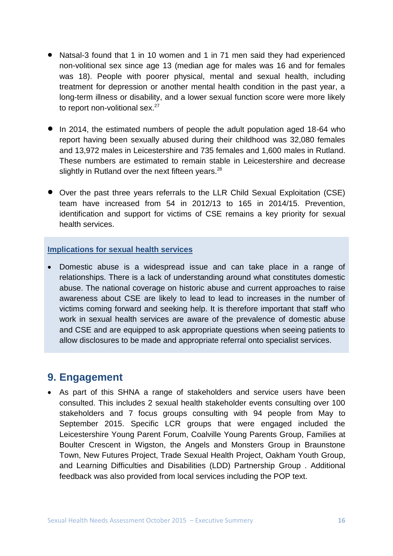- Natsal-3 found that 1 in 10 women and 1 in 71 men said they had experienced non-volitional sex since age 13 (median age for males was 16 and for females was 18). People with poorer physical, mental and sexual health, including treatment for depression or another mental health condition in the past year, a long-term illness or disability, and a lower sexual function score were more likely to report non-volitional sex.<sup>27</sup>
- In 2014, the estimated numbers of people the adult population aged 18-64 who report having been sexually abused during their childhood was 32,080 females and 13,972 males in Leicestershire and 735 females and 1,600 males in Rutland. These numbers are estimated to remain stable in Leicestershire and decrease slightly in Rutland over the next fifteen years. $^{28}$
- Over the past three years referrals to the LLR Child Sexual Exploitation (CSE) team have increased from 54 in 2012/13 to 165 in 2014/15. Prevention, identification and support for victims of CSE remains a key priority for sexual health services.

#### **Implications for sexual health services**

 Domestic abuse is a widespread issue and can take place in a range of relationships. There is a lack of understanding around what constitutes domestic abuse. The national coverage on historic abuse and current approaches to raise awareness about CSE are likely to lead to lead to increases in the number of victims coming forward and seeking help. It is therefore important that staff who work in sexual health services are aware of the prevalence of domestic abuse and CSE and are equipped to ask appropriate questions when seeing patients to allow disclosures to be made and appropriate referral onto specialist services.

#### **9. Engagement**

 As part of this SHNA a range of stakeholders and service users have been consulted. This includes 2 sexual health stakeholder events consulting over 100 stakeholders and 7 focus groups consulting with 94 people from May to September 2015. Specific LCR groups that were engaged included the Leicestershire Young Parent Forum, Coalville Young Parents Group, Families at Boulter Crescent in Wigston, the Angels and Monsters Group in Braunstone Town, New Futures Project, Trade Sexual Health Project, Oakham Youth Group, and Learning Difficulties and Disabilities (LDD) Partnership Group . Additional feedback was also provided from local services including the POP text.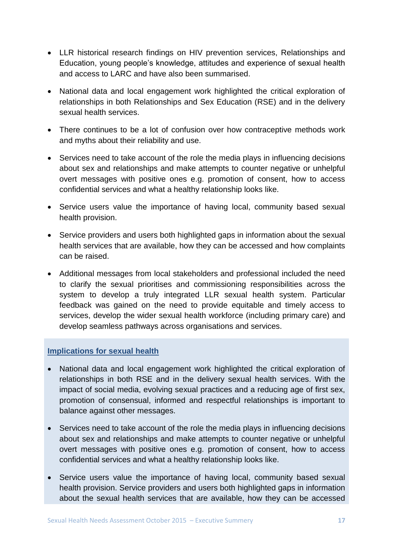- LLR historical research findings on HIV prevention services, Relationships and Education, young people's knowledge, attitudes and experience of sexual health and access to LARC and have also been summarised.
- National data and local engagement work highlighted the critical exploration of relationships in both Relationships and Sex Education (RSE) and in the delivery sexual health services.
- There continues to be a lot of confusion over how contraceptive methods work and myths about their reliability and use.
- Services need to take account of the role the media plays in influencing decisions about sex and relationships and make attempts to counter negative or unhelpful overt messages with positive ones e.g. promotion of consent, how to access confidential services and what a healthy relationship looks like.
- Service users value the importance of having local, community based sexual health provision.
- Service providers and users both highlighted gaps in information about the sexual health services that are available, how they can be accessed and how complaints can be raised.
- Additional messages from local stakeholders and professional included the need to clarify the sexual prioritises and commissioning responsibilities across the system to develop a truly integrated LLR sexual health system. Particular feedback was gained on the need to provide equitable and timely access to services, develop the wider sexual health workforce (including primary care) and develop seamless pathways across organisations and services.

#### **Implications for sexual health**

- National data and local engagement work highlighted the critical exploration of relationships in both RSE and in the delivery sexual health services. With the impact of social media, evolving sexual practices and a reducing age of first sex, promotion of consensual, informed and respectful relationships is important to balance against other messages.
- Services need to take account of the role the media plays in influencing decisions about sex and relationships and make attempts to counter negative or unhelpful overt messages with positive ones e.g. promotion of consent, how to access confidential services and what a healthy relationship looks like.
- Service users value the importance of having local, community based sexual health provision. Service providers and users both highlighted gaps in information about the sexual health services that are available, how they can be accessed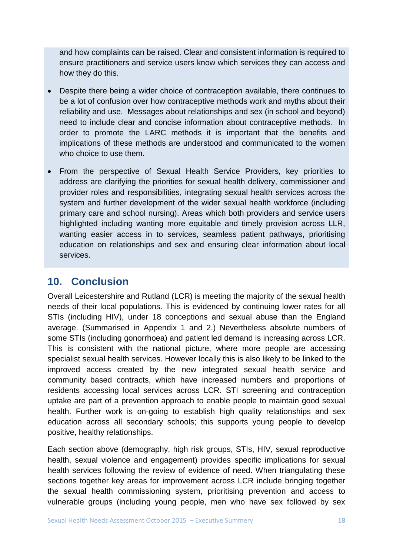and how complaints can be raised. Clear and consistent information is required to ensure practitioners and service users know which services they can access and how they do this.

- Despite there being a wider choice of contraception available, there continues to be a lot of confusion over how contraceptive methods work and myths about their reliability and use. Messages about relationships and sex (in school and beyond) need to include clear and concise information about contraceptive methods. In order to promote the LARC methods it is important that the benefits and implications of these methods are understood and communicated to the women who choice to use them.
- From the perspective of Sexual Health Service Providers, key priorities to address are clarifying the priorities for sexual health delivery, commissioner and provider roles and responsibilities, integrating sexual health services across the system and further development of the wider sexual health workforce (including primary care and school nursing). Areas which both providers and service users highlighted including wanting more equitable and timely provision across LLR, wanting easier access in to services, seamless patient pathways, prioritising education on relationships and sex and ensuring clear information about local services.

# **10. Conclusion**

Overall Leicestershire and Rutland (LCR) is meeting the majority of the sexual health needs of their local populations. This is evidenced by continuing lower rates for all STIs (including HIV), under 18 conceptions and sexual abuse than the England average. (Summarised in Appendix 1 and 2.) Nevertheless absolute numbers of some STIs (including gonorrhoea) and patient led demand is increasing across LCR. This is consistent with the national picture, where more people are accessing specialist sexual health services. However locally this is also likely to be linked to the improved access created by the new integrated sexual health service and community based contracts, which have increased numbers and proportions of residents accessing local services across LCR. STI screening and contraception uptake are part of a prevention approach to enable people to maintain good sexual health. Further work is on-going to establish high quality relationships and sex education across all secondary schools; this supports young people to develop positive, healthy relationships.

Each section above (demography, high risk groups, STIs, HIV, sexual reproductive health, sexual violence and engagement) provides specific implications for sexual health services following the review of evidence of need. When triangulating these sections together key areas for improvement across LCR include bringing together the sexual health commissioning system, prioritising prevention and access to vulnerable groups (including young people, men who have sex followed by sex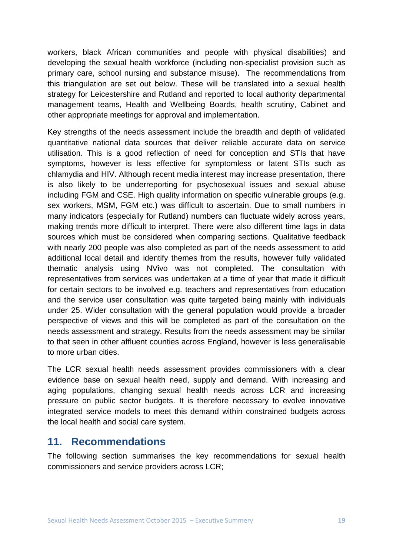workers, black African communities and people with physical disabilities) and developing the sexual health workforce (including non-specialist provision such as primary care, school nursing and substance misuse). The recommendations from this triangulation are set out below. These will be translated into a sexual health strategy for Leicestershire and Rutland and reported to local authority departmental management teams, Health and Wellbeing Boards, health scrutiny, Cabinet and other appropriate meetings for approval and implementation.

Key strengths of the needs assessment include the breadth and depth of validated quantitative national data sources that deliver reliable accurate data on service utilisation. This is a good reflection of need for conception and STIs that have symptoms, however is less effective for symptomless or latent STIs such as chlamydia and HIV. Although recent media interest may increase presentation, there is also likely to be underreporting for psychosexual issues and sexual abuse including FGM and CSE. High quality information on specific vulnerable groups (e.g. sex workers, MSM, FGM etc.) was difficult to ascertain. Due to small numbers in many indicators (especially for Rutland) numbers can fluctuate widely across years, making trends more difficult to interpret. There were also different time lags in data sources which must be considered when comparing sections. Qualitative feedback with nearly 200 people was also completed as part of the needs assessment to add additional local detail and identify themes from the results, however fully validated thematic analysis using NVivo was not completed. The consultation with representatives from services was undertaken at a time of year that made it difficult for certain sectors to be involved e.g. teachers and representatives from education and the service user consultation was quite targeted being mainly with individuals under 25. Wider consultation with the general population would provide a broader perspective of views and this will be completed as part of the consultation on the needs assessment and strategy. Results from the needs assessment may be similar to that seen in other affluent counties across England, however is less generalisable to more urban cities.

The LCR sexual health needs assessment provides commissioners with a clear evidence base on sexual health need, supply and demand. With increasing and aging populations, changing sexual health needs across LCR and increasing pressure on public sector budgets. It is therefore necessary to evolve innovative integrated service models to meet this demand within constrained budgets across the local health and social care system.

#### **11. Recommendations**

The following section summarises the key recommendations for sexual health commissioners and service providers across LCR;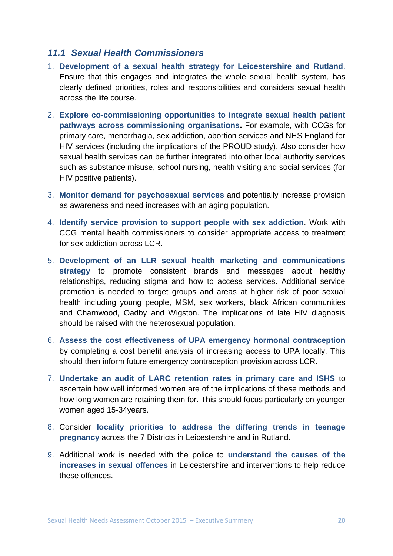#### *11.1 Sexual Health Commissioners*

- 1. **Development of a sexual health strategy for Leicestershire and Rutland**. Ensure that this engages and integrates the whole sexual health system, has clearly defined priorities, roles and responsibilities and considers sexual health across the life course.
- 2. **Explore co-commissioning opportunities to integrate sexual health patient pathways across commissioning organisations.** For example, with CCGs for primary care, menorrhagia, sex addiction, abortion services and NHS England for HIV services (including the implications of the PROUD study). Also consider how sexual health services can be further integrated into other local authority services such as substance misuse, school nursing, health visiting and social services (for HIV positive patients).
- 3. **Monitor demand for psychosexual services** and potentially increase provision as awareness and need increases with an aging population.
- 4. **Identify service provision to support people with sex addiction**. Work with CCG mental health commissioners to consider appropriate access to treatment for sex addiction across LCR.
- 5. **Development of an LLR sexual health marketing and communications strategy** to promote consistent brands and messages about healthy relationships, reducing stigma and how to access services. Additional service promotion is needed to target groups and areas at higher risk of poor sexual health including young people, MSM, sex workers, black African communities and Charnwood, Oadby and Wigston. The implications of late HIV diagnosis should be raised with the heterosexual population.
- 6. **Assess the cost effectiveness of UPA emergency hormonal contraception** by completing a cost benefit analysis of increasing access to UPA locally. This should then inform future emergency contraception provision across LCR.
- 7. **Undertake an audit of LARC retention rates in primary care and ISHS** to ascertain how well informed women are of the implications of these methods and how long women are retaining them for. This should focus particularly on younger women aged 15-34years.
- 8. Consider **locality priorities to address the differing trends in teenage pregnancy** across the 7 Districts in Leicestershire and in Rutland.
- 9. Additional work is needed with the police to **understand the causes of the increases in sexual offences** in Leicestershire and interventions to help reduce these offences.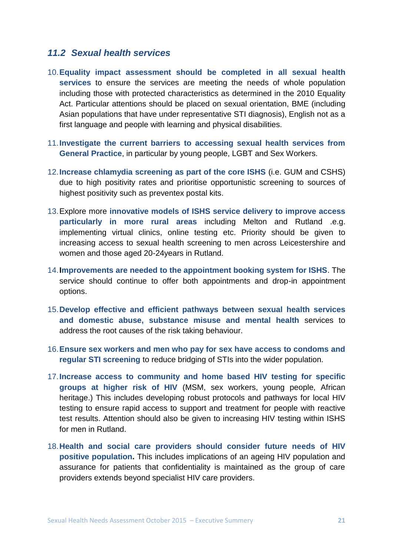#### *11.2 Sexual health services*

- 10.**Equality impact assessment should be completed in all sexual health services** to ensure the services are meeting the needs of whole population including those with protected characteristics as determined in the 2010 Equality Act. Particular attentions should be placed on sexual orientation, BME (including Asian populations that have under representative STI diagnosis), English not as a first language and people with learning and physical disabilities.
- 11.**Investigate the current barriers to accessing sexual health services from General Practice**, in particular by young people, LGBT and Sex Workers.
- 12.**Increase chlamydia screening as part of the core ISHS** (i.e. GUM and CSHS) due to high positivity rates and prioritise opportunistic screening to sources of highest positivity such as preventex postal kits.
- 13.Explore more **innovative models of ISHS service delivery to improve access particularly in more rural areas** including Melton and Rutland .e.g. implementing virtual clinics, online testing etc. Priority should be given to increasing access to sexual health screening to men across Leicestershire and women and those aged 20-24years in Rutland.
- 14.**Improvements are needed to the appointment booking system for ISHS**. The service should continue to offer both appointments and drop-in appointment options.
- 15.**Develop effective and efficient pathways between sexual health services and domestic abuse, substance misuse and mental health** services to address the root causes of the risk taking behaviour.
- 16.**Ensure sex workers and men who pay for sex have access to condoms and regular STI screening** to reduce bridging of STIs into the wider population.
- 17.**Increase access to community and home based HIV testing for specific groups at higher risk of HIV** (MSM, sex workers, young people, African heritage.) This includes developing robust protocols and pathways for local HIV testing to ensure rapid access to support and treatment for people with reactive test results. Attention should also be given to increasing HIV testing within ISHS for men in Rutland.
- 18.**Health and social care providers should consider future needs of HIV positive population.** This includes implications of an ageing HIV population and assurance for patients that confidentiality is maintained as the group of care providers extends beyond specialist HIV care providers.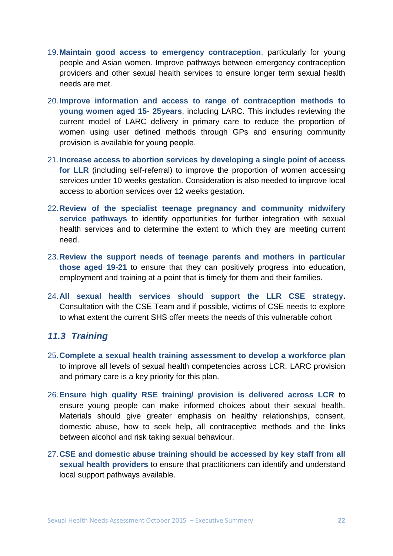- 19.**Maintain good access to emergency contraception**, particularly for young people and Asian women. Improve pathways between emergency contraception providers and other sexual health services to ensure longer term sexual health needs are met.
- 20.**Improve information and access to range of contraception methods to young women aged 15- 25years**, including LARC. This includes reviewing the current model of LARC delivery in primary care to reduce the proportion of women using user defined methods through GPs and ensuring community provision is available for young people.
- 21.**Increase access to abortion services by developing a single point of access for LLR** (including self-referral) to improve the proportion of women accessing services under 10 weeks gestation. Consideration is also needed to improve local access to abortion services over 12 weeks gestation.
- 22.**Review of the specialist teenage pregnancy and community midwifery service pathways** to identify opportunities for further integration with sexual health services and to determine the extent to which they are meeting current need.
- 23.**Review the support needs of teenage parents and mothers in particular those aged 19-21** to ensure that they can positively progress into education, employment and training at a point that is timely for them and their families.
- 24.**All sexual health services should support the LLR CSE strategy.** Consultation with the CSE Team and if possible, victims of CSE needs to explore to what extent the current SHS offer meets the needs of this vulnerable cohort

#### *11.3 Training*

- 25.**Complete a sexual health training assessment to develop a workforce plan** to improve all levels of sexual health competencies across LCR. LARC provision and primary care is a key priority for this plan.
- 26.**Ensure high quality RSE training/ provision is delivered across LCR** to ensure young people can make informed choices about their sexual health. Materials should give greater emphasis on healthy relationships, consent, domestic abuse, how to seek help, all contraceptive methods and the links between alcohol and risk taking sexual behaviour.
- 27.**CSE and domestic abuse training should be accessed by key staff from all sexual health providers** to ensure that practitioners can identify and understand local support pathways available.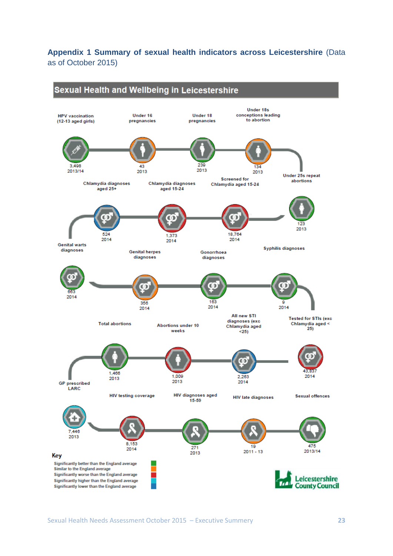**Appendix 1 Summary of sexual health indicators across Leicestershire** (Data as of October 2015)

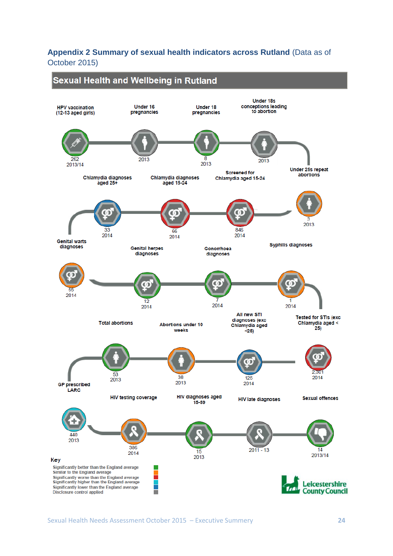#### **Appendix 2 Summary of sexual health indicators across Rutland** (Data as of October 2015)

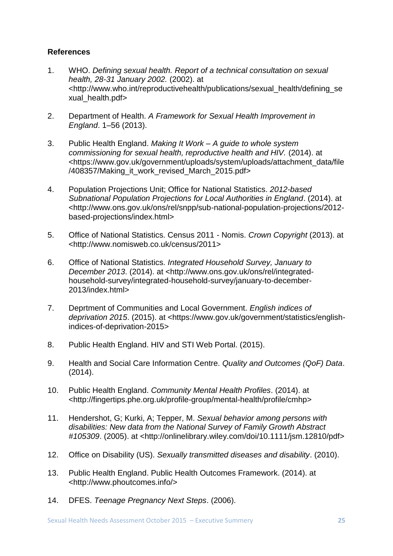#### **References**

- 1. WHO. *Defining sexual health. Report of a technical consultation on sexual health, 28-31 January 2002.* (2002). at <http://www.who.int/reproductivehealth/publications/sexual\_health/defining\_se xual\_health.pdf>
- 2. Department of Health. *A Framework for Sexual Health Improvement in England*. 1–56 (2013).
- 3. Public Health England. *Making It Work – A guide to whole system commissioning for sexual health, reproductive health and HIV.* (2014). at <https://www.gov.uk/government/uploads/system/uploads/attachment\_data/file /408357/Making it work revised March 2015.pdf>
- 4. Population Projections Unit; Office for National Statistics. *2012-based Subnational Population Projections for Local Authorities in England*. (2014). at <http://www.ons.gov.uk/ons/rel/snpp/sub-national-population-projections/2012 based-projections/index.html>
- 5. Office of National Statistics. Census 2011 Nomis. *Crown Copyright* (2013). at <http://www.nomisweb.co.uk/census/2011>
- 6. Office of National Statistics. *Integrated Household Survey, January to December 2013*. (2014). at <http://www.ons.gov.uk/ons/rel/integratedhousehold-survey/integrated-household-survey/january-to-december-2013/index.html>
- 7. Deprtment of Communities and Local Government. *English indices of deprivation 2015*. (2015). at <https://www.gov.uk/government/statistics/englishindices-of-deprivation-2015>
- 8. Public Health England. HIV and STI Web Portal. (2015).
- 9. Health and Social Care Information Centre. *Quality and Outcomes (QoF) Data*. (2014).
- 10. Public Health England. *Community Mental Health Profiles*. (2014). at <http://fingertips.phe.org.uk/profile-group/mental-health/profile/cmhp>
- 11. Hendershot, G; Kurki, A; Tepper, M. *Sexual behavior among persons with disabilities: New data from the National Survey of Family Growth Abstract #105309*. (2005). at <http://onlinelibrary.wiley.com/doi/10.1111/jsm.12810/pdf>
- 12. Office on Disability (US). *Sexually transmitted diseases and disability*. (2010).
- 13. Public Health England. Public Health Outcomes Framework. (2014). at <http://www.phoutcomes.info/>
- 14. DFES. *Teenage Pregnancy Next Steps*. (2006).